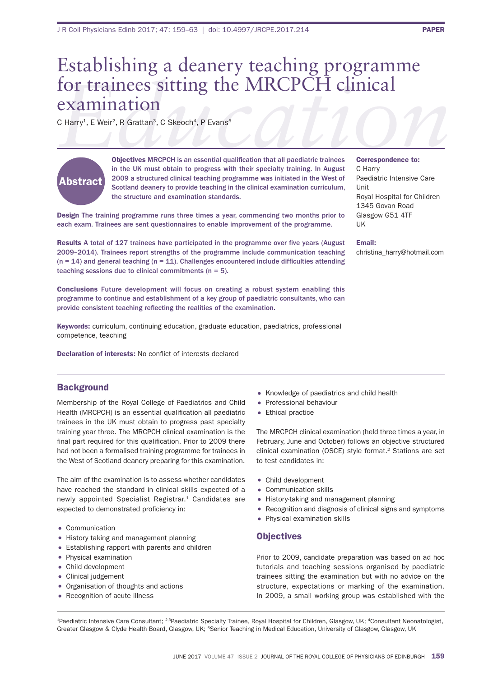## **Examination**<br> *C* Harry<sup>1</sup>, E Weir<sup>2</sup>, R Grattan<sup>3</sup>, C Skeoch<sup>4</sup>, P Evans<sup>5</sup><br> **Example 1** Evantan<sup>3</sup>, C Skeoch<sup>4</sup>, P Evans<sup>5</sup><br> **Example 1** Percel is an essential qualification that all paediatric trainees Correspondence t Establishing a deanery teaching programme examination

C Harry<sup>1</sup>, E Weir<sup>2</sup>, R Grattan<sup>3</sup>, C Skeoch<sup>4</sup>, P Evans<sup>5</sup>

# Abstract

Objectives MRCPCH is an essential qualification that all paediatric trainees in the UK must obtain to progress with their specialty training. In August 2009 a structured clinical teaching programme was initiated in the West of Scotland deanery to provide teaching in the clinical examination curriculum, the structure and examination standards.

Design The training programme runs three times a year, commencing two months prior to each exam. Trainees are sent questionnaires to enable improvement of the programme.

Results A total of 127 trainees have participated in the programme over five years (August 2009–2014). Trainees report strengths of the programme include communication teaching  $(n = 14)$  and general teaching  $(n = 11)$ . Challenges encountered include difficulties attending teaching sessions due to clinical commitments ( $n = 5$ ).

Conclusions Future development will focus on creating a robust system enabling this programme to continue and establishment of a key group of paediatric consultants, who can provide consistent teaching reflecting the realities of the examination.

Keywords: curriculum, continuing education, graduate education, paediatrics, professional competence, teaching

Declaration of interests: No conflict of interests declared

## **Background**

Membership of the Royal College of Paediatrics and Child Health (MRCPCH) is an essential qualification all paediatric trainees in the UK must obtain to progress past specialty training year three. The MRCPCH clinical examination is the final part required for this qualification. Prior to 2009 there had not been a formalised training programme for trainees in the West of scotland deanery preparing for this examination.

The aim of the examination is to assess whether candidates have reached the standard in clinical skills expected of a newly appointed Specialist Registrar.<sup>1</sup> Candidates are expected to demonstrated proficiency in:

- Communication
- history taking and management planning
- $\bullet$  Establishing rapport with parents and children
- Physical examination
- Child development
- Clinical judgement
- Organisation of thoughts and actions
- Recognition of acute illness
- Knowledge of paediatrics and child health
- Professional behaviour
- Ethical practice

The MRCPCH clinical examination (held three times a year, in february, June and october) follows an objective structured clinical examination (OSCE) style format.<sup>2</sup> Stations are set to test candidates in:

- Child development
- Communication skills
- History-taking and management planning
- Recognition and diagnosis of clinical signs and symptoms
- Physical examination skills

## **Objectives**

Prior to 2009, candidate preparation was based on ad hoc tutorials and teaching sessions organised by paediatric trainees sitting the examination but with no advice on the structure, expectations or marking of the examination. in 2009, a small working group was established with the

<sup>1</sup>Paediatric Intensive Care Consultant; <sup>2,3</sup>Paediatric Specialty Trainee, Royal Hospital for Children, Glasgow, UK; <sup>4</sup>Consultant Neonatologist, Greater Glasgow & Clyde Health Board, Glasgow, UK; <sup>5</sup>Senior Teaching in Medical Education, University of Glasgow, Glasgow, UK

## Correspondence to:

C harry Paediatric intensive Care Unit Royal Hospital for Children 1345 Govan Road Glasgow G51 4TF UK

#### Email:

christina\_harry@hotmail.com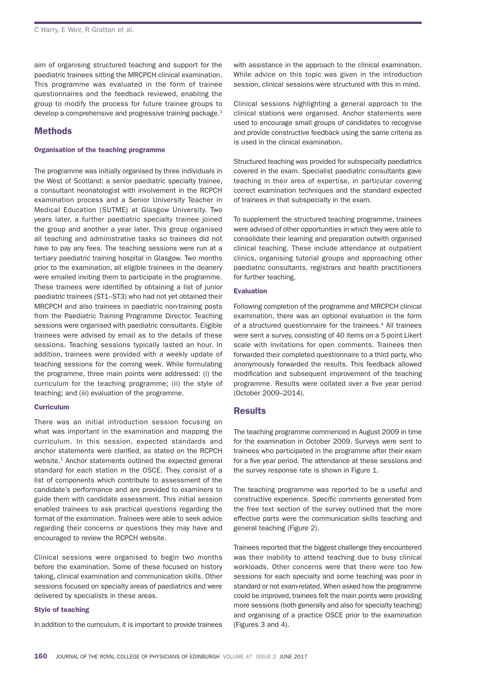aim of organising structured teaching and support for the paediatric trainees sitting the MRCPCH clinical examination. This programme was evaluated in the form of trainee questionnaires and the feedback reviewed, enabling the group to modify the process for future trainee groups to develop a comprehensive and progressive training package.<sup>3</sup>

## Methods

#### Organisation of the teaching programme

The programme was initially organised by three individuals in the West of scotland; a senior paediatric specialty trainee, a consultant neonatologist with involvement in the RCPCH examination process and a Senior University Teacher in Medical Education (SUTME) at Glasgow University. Two years later, a further paediatric specialty trainee joined the group and another a year later. This group organised all teaching and administrative tasks so trainees did not have to pay any fees. The teaching sessions were run at a tertiary paediatric training hospital in Glasgow. Two months prior to the examination, all eligible trainees in the deanery were emailed inviting them to participate in the programme. These trainees were identified by obtaining a list of junior paediatric trainees (ST1-ST3) who had not yet obtained their MRCPCH and also trainees in paediatric non-training posts from the Paediatric Training Programme Director. Teaching sessions were organised with paediatric consultants. Eligible trainees were advised by email as to the details of these sessions. Teaching sessions typically lasted an hour. In addition, trainees were provided with a weekly update of teaching sessions for the coming week. While formulating the programme, three main points were addressed: (i) the curriculum for the teaching programme; (ii) the style of teaching; and (iii) evaluation of the programme.

#### Curriculum

There was an initial introduction session focusing on what was important in the examination and mapping the curriculum. in this session, expected standards and anchor statements were clarified, as stated on the RCPCH website.<sup>1</sup> Anchor statements outlined the expected general standard for each station in the OSCE. They consist of a list of components which contribute to assessment of the candidate's performance and are provided to examiners to guide them with candidate assessment. This initial session enabled trainees to ask practical questions regarding the format of the examination. Trainees were able to seek advice regarding their concerns or questions they may have and encouraged to review the RCPCH website.

Clinical sessions were organised to begin two months before the examination. some of these focused on history taking, clinical examination and communication skills. other sessions focused on specialty areas of paediatrics and were delivered by specialists in these areas.

#### Style of teaching

in addition to the curriculum, it is important to provide trainees

with assistance in the approach to the clinical examination. While advice on this topic was given in the introduction session, clinical sessions were structured with this in mind.

Clinical sessions highlighting a general approach to the clinical stations were organised. anchor statements were used to encourage small groups of candidates to recognise and provide constructive feedback using the same criteria as is used in the clinical examination.

structured teaching was provided for subspecialty paediatrics covered in the exam. specialist paediatric consultants gave teaching in their area of expertise, in particular covering correct examination techniques and the standard expected of trainees in that subspecialty in the exam.

To supplement the structured teaching programme, trainees were advised of other opportunities in which they were able to consolidate their learning and preparation outwith organised clinical teaching. These include attendance at outpatient clinics, organising tutorial groups and approaching other paediatric consultants, registrars and health practitioners for further teaching.

#### Evaluation

Following completion of the programme and MRCPCH clinical examination, there was an optional evaluation in the form of a structured questionnaire for the trainees.<sup>4</sup> All trainees were sent a survey, consisting of 40 items on a 5-point Likert scale with invitations for open comments. Trainees then forwarded their completed questionnaire to a third party, who anonymously forwarded the results. This feedback allowed modification and subsequent improvement of the teaching programme. Results were collated over a five year period (october 2009–2014).

## **Results**

The teaching programme commenced in August 2009 in time for the examination in October 2009. Surveys were sent to trainees who participated in the programme after their exam for a five year period. The attendance at these sessions and the survey response rate is shown in figure 1.

The teaching programme was reported to be a useful and constructive experience. Specific comments generated from the free text section of the survey outlined that the more effective parts were the communication skills teaching and general teaching (figure 2).

trainees reported that the biggest challenge they encountered was their inability to attend teaching due to busy clinical workloads. Other concerns were that there were too few sessions for each specialty and some teaching was poor in standard or not exam-related. When asked how the programme could be improved, trainees felt the main points were providing more sessions (both generally and also for specialty teaching) and organising of a practice osCe prior to the examination (figures 3 and 4).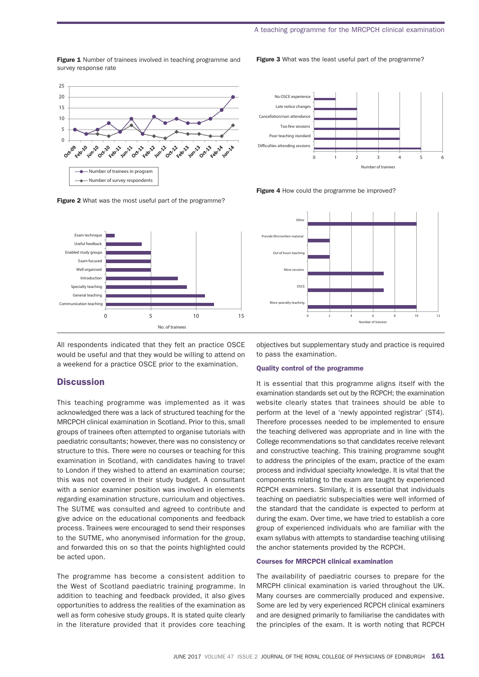Figure 1 Number of trainees involved in teaching programme and survey response rate

Figure 3 What was the least useful part of the programme?



Figure 2 What was the most useful part of the programme?



All respondents indicated that they felt an practice OSCE would be useful and that they would be willing to attend on a weekend for a practice osCe prior to the examination.

## **Discussion**

This teaching programme was implemented as it was acknowledged there was a lack of structured teaching for the MRCPCH clinical examination in Scotland. Prior to this, small groups of trainees often attempted to organise tutorials with paediatric consultants; however, there was no consistency or structure to this. There were no courses or teaching for this examination in scotland, with candidates having to travel to London if they wished to attend an examination course; this was not covered in their study budget. A consultant with a senior examiner position was involved in elements regarding examination structure, curriculum and objectives. The SUTME was consulted and agreed to contribute and give advice on the educational components and feedback process. Trainees were encouraged to send their responses to the SUTME, who anonymised information for the group, and forwarded this on so that the points highlighted could be acted upon.

The programme has become a consistent addition to the West of scotland paediatric training programme. in addition to teaching and feedback provided, it also gives opportunities to address the realities of the examination as well as form cohesive study groups. it is stated quite clearly in the literature provided that it provides core teaching



Figure 4 How could the programme be improved?



objectives but supplementary study and practice is required to pass the examination.

#### Quality control of the programme

It is essential that this programme aligns itself with the examination standards set out by the RCPCH; the examination website clearly states that trainees should be able to perform at the level of a 'newly appointed registrar' (ST4). Therefore processes needed to be implemented to ensure the teaching delivered was appropriate and in line with the College recommendations so that candidates receive relevant and constructive teaching. This training programme sought to address the principles of the exam, practice of the exam process and individual specialty knowledge. it is vital that the components relating to the exam are taught by experienced rCPCh examiners. similarly, it is essential that individuals teaching on paediatric subspecialties were well informed of the standard that the candidate is expected to perform at during the exam. Over time, we have tried to establish a core group of experienced individuals who are familiar with the exam syllabus with attempts to standardise teaching utilising the anchor statements provided by the RCPCH.

#### Courses for MRCPCH clinical examination

The availability of paediatric courses to prepare for the MRCPH clinical examination is varied throughout the UK. many courses are commercially produced and expensive. Some are led by very experienced RCPCH clinical examiners and are designed primarily to familiarise the candidates with the principles of the exam. It is worth noting that RCPCH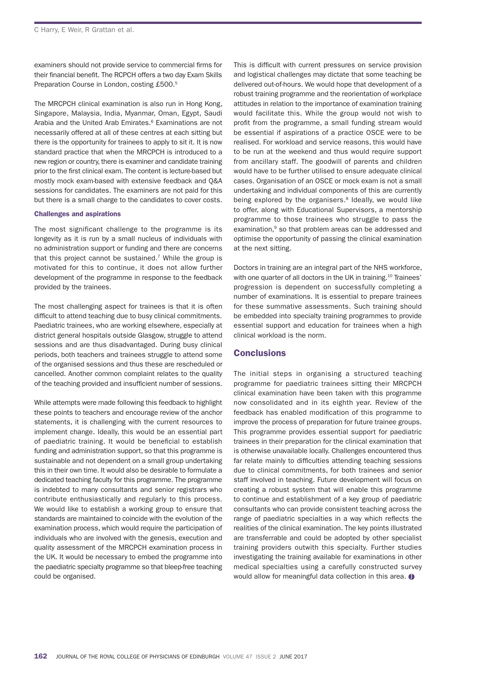examiners should not provide service to commercial firms for their financial benefit. The RCPCH offers a two day Exam Skills Preparation Course in London, costing £500.<sup>5</sup>

The MRCPCH clinical examination is also run in Hong Kong, singapore, malaysia, india, myanmar, oman, egypt, saudi Arabia and the United Arab Emirates.<sup>6</sup> Examinations are not necessarily offered at all of these centres at each sitting but there is the opportunity for trainees to apply to sit it. it is now standard practice that when the MRCPCH is introduced to a new region or country, there is examiner and candidate training prior to the first clinical exam. The content is lecture-based but mostly mock exam-based with extensive feedback and Q&a sessions for candidates. The examiners are not paid for this but there is a small charge to the candidates to cover costs.

#### Challenges and aspirations

The most significant challenge to the programme is its longevity as it is run by a small nucleus of individuals with no administration support or funding and there are concerns that this project cannot be sustained.<sup>7</sup> While the group is motivated for this to continue, it does not allow further development of the programme in response to the feedback provided by the trainees.

The most challenging aspect for trainees is that it is often difficult to attend teaching due to busy clinical commitments. Paediatric trainees, who are working elsewhere, especially at district general hospitals outside glasgow, struggle to attend sessions and are thus disadvantaged. During busy clinical periods, both teachers and trainees struggle to attend some of the organised sessions and thus these are rescheduled or cancelled. Another common complaint relates to the quality of the teaching provided and insufficient number of sessions.

While attempts were made following this feedback to highlight these points to teachers and encourage review of the anchor statements, it is challenging with the current resources to implement change. ideally, this would be an essential part of paediatric training. It would be beneficial to establish funding and administration support, so that this programme is sustainable and not dependent on a small group undertaking this in their own time. it would also be desirable to formulate a dedicated teaching faculty for this programme. The programme is indebted to many consultants and senior registrars who contribute enthusiastically and regularly to this process. We would like to establish a working group to ensure that standards are maintained to coincide with the evolution of the examination process, which would require the participation of individuals who are involved with the genesis, execution and quality assessment of the MRCPCH examination process in the UK. it would be necessary to embed the programme into the paediatric specialty programme so that bleep-free teaching could be organised.

This is difficult with current pressures on service provision and logistical challenges may dictate that some teaching be delivered out-of-hours. We would hope that development of a robust training programme and the reorientation of workplace attitudes in relation to the importance of examination training would facilitate this. While the group would not wish to profit from the programme, a small funding stream would be essential if aspirations of a practice OSCE were to be realised. for workload and service reasons, this would have to be run at the weekend and thus would require support from ancillary staff. The goodwill of parents and children would have to be further utilised to ensure adequate clinical cases. organisation of an osCe or mock exam is not a small undertaking and individual components of this are currently being explored by the organisers. $8$  Ideally, we would like to offer, along with Educational Supervisors, a mentorship programme to those trainees who struggle to pass the examination,<sup>9</sup> so that problem areas can be addressed and optimise the opportunity of passing the clinical examination at the next sitting.

Doctors in training are an integral part of the NHS workforce, with one quarter of all doctors in the UK in training.<sup>10</sup> Trainees' progression is dependent on successfully completing a number of examinations. it is essential to prepare trainees for these summative assessments. Such training should be embedded into specialty training programmes to provide essential support and education for trainees when a high clinical workload is the norm.

#### **Conclusions**

The initial steps in organising a structured teaching programme for paediatric trainees sitting their MRCPCH clinical examination have been taken with this programme now consolidated and in its eighth year. Review of the feedback has enabled modification of this programme to improve the process of preparation for future trainee groups. This programme provides essential support for paediatric trainees in their preparation for the clinical examination that is otherwise unavailable locally. Challenges encountered thus far relate mainly to difficulties attending teaching sessions due to clinical commitments, for both trainees and senior staff involved in teaching. future development will focus on creating a robust system that will enable this programme to continue and establishment of a key group of paediatric consultants who can provide consistent teaching across the range of paediatric specialties in a way which reflects the realities of the clinical examination. The key points illustrated are transferrable and could be adopted by other specialist training providers outwith this specialty. further studies investigating the training available for examinations in other medical specialties using a carefully constructed survey would allow for meaningful data collection in this area.  $\bullet$